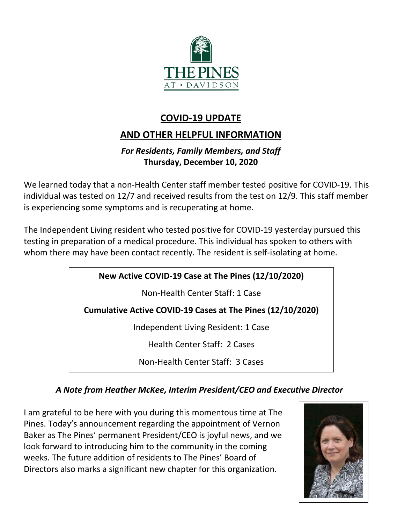

## **COVID-19 UPDATE**

# **AND OTHER HELPFUL INFORMATION**

## *For Residents, Family Members, and Staff* **Thursday, December 10, 2020**

We learned today that a non-Health Center staff member tested positive for COVID-19. This individual was tested on 12/7 and received results from the test on 12/9. This staff member is experiencing some symptoms and is recuperating at home.

The Independent Living resident who tested positive for COVID-19 yesterday pursued this testing in preparation of a medical procedure. This individual has spoken to others with whom there may have been contact recently. The resident is self-isolating at home.

## **New Active COVID-19 Case at The Pines (12/10/2020)**

Non-Health Center Staff: 1 Case

**Cumulative Active COVID-19 Cases at The Pines (12/10/2020)**

Independent Living Resident: 1 Case

Health Center Staff: 2 Cases

Non-Health Center Staff: 3 Cases

## *A Note from Heather McKee, Interim President/CEO and Executive Director*

I am grateful to be here with you during this momentous time at The Pines. Today's announcement regarding the appointment of Vernon Baker as The Pines' permanent President/CEO is joyful news, and we look forward to introducing him to the community in the coming weeks. The future addition of residents to The Pines' Board of Directors also marks a significant new chapter for this organization.

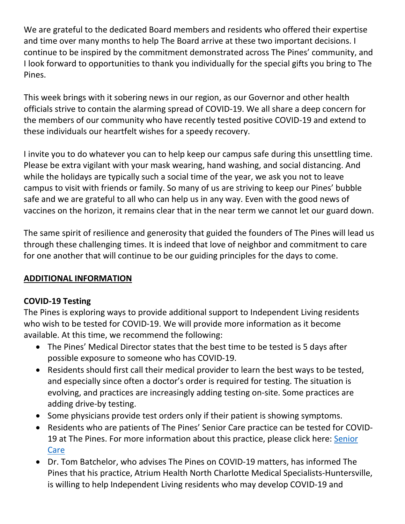We are grateful to the dedicated Board members and residents who offered their expertise and time over many months to help The Board arrive at these two important decisions. I continue to be inspired by the commitment demonstrated across The Pines' community, and I look forward to opportunities to thank you individually for the special gifts you bring to The Pines.

This week brings with it sobering news in our region, as our Governor and other health officials strive to contain the alarming spread of COVID-19. We all share a deep concern for the members of our community who have recently tested positive COVID-19 and extend to these individuals our heartfelt wishes for a speedy recovery.

I invite you to do whatever you can to help keep our campus safe during this unsettling time. Please be extra vigilant with your mask wearing, hand washing, and social distancing. And while the holidays are typically such a social time of the year, we ask you not to leave campus to visit with friends or family. So many of us are striving to keep our Pines' bubble safe and we are grateful to all who can help us in any way. Even with the good news of vaccines on the horizon, it remains clear that in the near term we cannot let our guard down.

The same spirit of resilience and generosity that guided the founders of The Pines will lead us through these challenging times. It is indeed that love of neighbor and commitment to care for one another that will continue to be our guiding principles for the days to come.

#### **ADDITIONAL INFORMATION**

#### **COVID-19 Testing**

The Pines is exploring ways to provide additional support to Independent Living residents who wish to be tested for COVID-19. We will provide more information as it become available. At this time, we recommend the following:

- The Pines' Medical Director states that the best time to be tested is 5 days after possible exposure to someone who has COVID-19.
- Residents should first call their medical provider to learn the best ways to be tested, and especially since often a doctor's order is required for testing. The situation is evolving, and practices are increasingly adding testing on-site. Some practices are adding drive-by testing.
- Some physicians provide test orders only if their patient is showing symptoms.
- Residents who are patients of The Pines' Senior Care practice can be tested for COVID-19 at The Pines. For more information about this practice, please click here: [Senior](https://www.thepinesatdavidson.org/residents-and-families#fancypdf-467)  [Care](https://www.thepinesatdavidson.org/residents-and-families#fancypdf-467)
- Dr. Tom Batchelor, who advises The Pines on COVID-19 matters, has informed The Pines that his practice, Atrium Health North Charlotte Medical Specialists-Huntersville, is willing to help Independent Living residents who may develop COVID-19 and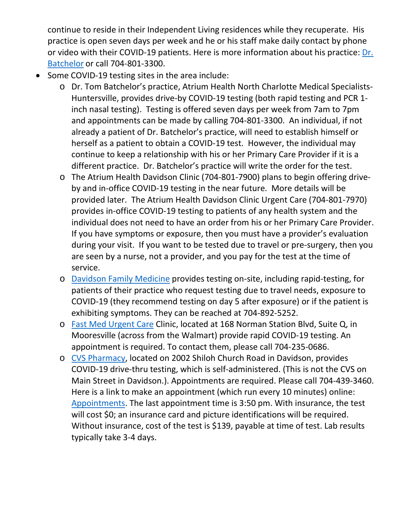continue to reside in their Independent Living residences while they recuperate. His practice is open seven days per week and he or his staff make daily contact by phone or video with their COVID-19 patients. Here is more information about his practice: [Dr.](https://atriumhealth.org/provider-profile/thomas-batchelor-1902839624/?phonenumber=844-235-6997)  [Batchelor](https://atriumhealth.org/provider-profile/thomas-batchelor-1902839624/?phonenumber=844-235-6997) or call 704-801-3300.

- Some COVID-19 testing sites in the area include:
	- o Dr. Tom Batchelor's practice, Atrium Health North Charlotte Medical Specialists-Huntersville, provides drive-by COVID-19 testing (both rapid testing and PCR 1 inch nasal testing). Testing is offered seven days per week from 7am to 7pm and appointments can be made by calling 704-801-3300. An individual, if not already a patient of Dr. Batchelor's practice, will need to establish himself or herself as a patient to obtain a COVID-19 test. However, the individual may continue to keep a relationship with his or her Primary Care Provider if it is a different practice. Dr. Batchelor's practice will write the order for the test.
	- o The Atrium Health Davidson Clinic (704-801-7900) plans to begin offering driveby and in-office COVID-19 testing in the near future. More details will be provided later. The Atrium Health Davidson Clinic Urgent Care (704-801-7970) provides in-office COVID-19 testing to patients of any health system and the individual does not need to have an order from his or her Primary Care Provider. If you have symptoms or exposure, then you must have a provider's evaluation during your visit. If you want to be tested due to travel or pre-surgery, then you are seen by a nurse, not a provider, and you pay for the test at the time of service.
	- o [Davidson Family Medicine](https://davidsonfamilymedicine.com/) provides testing on-site, including rapid-testing, for patients of their practice who request testing due to travel needs, exposure to COVID-19 (they recommend testing on day 5 after exposure) or if the patient is exhibiting symptoms. They can be reached at 704-892-5252.
	- o [Fast Med Urgent Care](https://www.fastmed.com/urgent-care-centers/mooresville-nc-walk-in-clinic/) Clinic, located at 168 Norman Station Blvd, Suite Q, in Mooresville (across from the Walmart) provide rapid COVID-19 testing. An appointment is required. To contact them, please call 704-235-0686.
	- o [CVS Pharmacy,](https://www.cvs.com/store-locator/cvs-pharmacy-address/2002+Shiloh+Church+Road-Davidson-NC-28036/storeid=1643?WT.mc_id=LS_GOOGLE_FS_1643) located on 2002 Shiloh Church Road in Davidson, provides COVID-19 drive-thru testing, which is self-administered. (This is not the CVS on Main Street in Davidson.). Appointments are required. Please call 704-439-3460. Here is a link to make an appointment (which run every 10 minutes) online: [Appointments.](https://www.cvs.com/minuteclinic/covid-19-testing?WT.ac=cvs-storelocator-searchpilot-header-covid-1643) The last appointment time is 3:50 pm. With insurance, the test will cost \$0; an insurance card and picture identifications will be required. Without insurance, cost of the test is \$139, payable at time of test. Lab results typically take 3-4 days.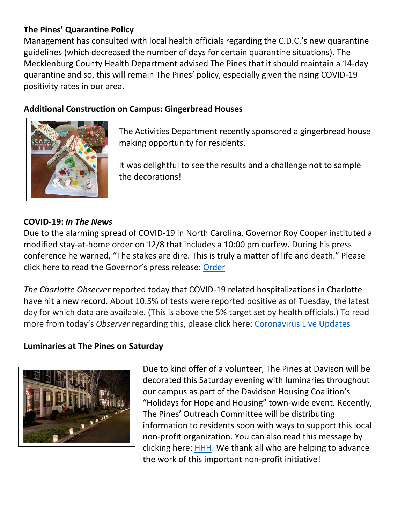### **The Pines' Quarantine Policy**

Management has consulted with local health officials regarding the C.D.C.'s new quarantine guidelines (which decreased the number of days for certain quarantine situations). The Mecklenburg County Health Department advised The Pines that it should maintain a 14-day quarantine and so, this will remain The Pines' policy, especially given the rising COVID-19 positivity rates in our area.

### **Additional Construction on Campus: Gingerbread Houses**



The Activities Department recently sponsored a gingerbread house making opportunity for residents.

It was delightful to see the results and a challenge not to sample the decorations!

#### **COVID-19:** *In The News*

Due to the alarming spread of COVID-19 in North Carolina, Governor Roy Cooper instituted a modified stay-at-home order on 12/8 that includes a 10:00 pm curfew. During his press conference he warned, "The stakes are dire. This is truly a matter of life and death." Please click here to read the Governor's press release: [Order](https://governor.nc.gov/news/key-metrics-increasing-rapidly-north-carolina-begin-modified-stay-home-order-slow-covid-19#:%7E:text=The%20Order%20requires%20restaurants%2C%20bars,the%20Frequently%20Asked%20Questions%20document.)

*The Charlotte Observer* reported today that COVID-19 related hospitalizations in Charlotte have hit a new record. About 10.5% of tests were reported positive as of Tuesday, the latest day for which data are available. (This is above the 5% target set by health officials.) To read more from today's *Observer* regarding this, please click here: [Coronavirus Live Updates](https://www.charlotteobserver.com/news/coronavirus/article247739245.html)

#### **Luminaries at The Pines on Saturday**



Due to kind offer of a volunteer, The Pines at Davison will be decorated this Saturday evening with luminaries throughout our campus as part of the Davidson Housing Coalition's "Holidays for Hope and Housing" town-wide event. Recently, The Pines' Outreach Committee will be distributing information to residents soon with ways to support this local non-profit organization. You can also read this message by clicking here: [HHH.](https://www.mycommunity-center.com/filephotos/463/DHC.pdf) We thank all who are helping to advance the work of this important non-profit initiative!